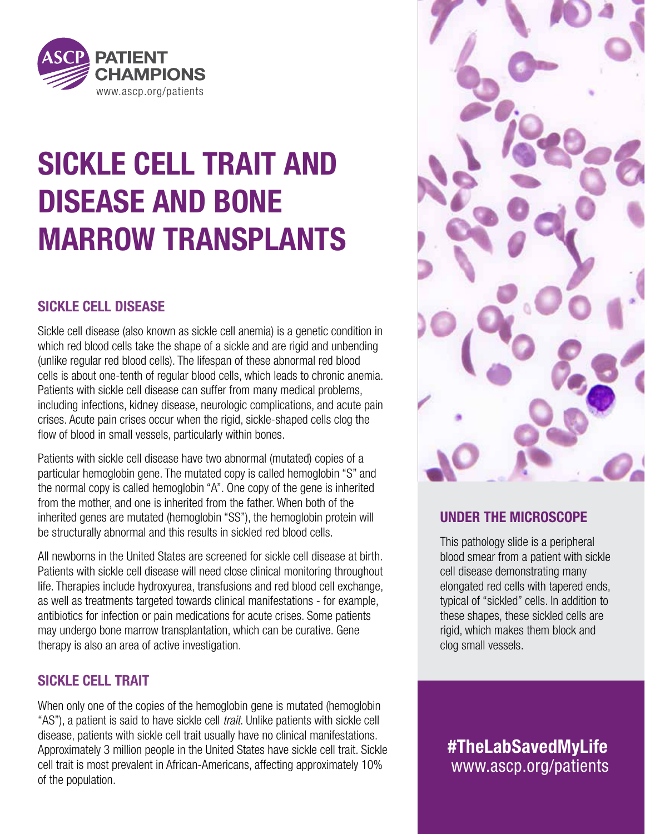

# SICKLE CELL TRAIT AND DISEASE AND BONE MARROW TRANSPLANTS

### SICKLE CELL DISEASE

Sickle cell disease (also known as sickle cell anemia) is a genetic condition in which red blood cells take the shape of a sickle and are rigid and unbending (unlike regular red blood cells). The lifespan of these abnormal red blood cells is about one-tenth of regular blood cells, which leads to chronic anemia. Patients with sickle cell disease can suffer from many medical problems, including infections, kidney disease, neurologic complications, and acute pain crises. Acute pain crises occur when the rigid, sickle-shaped cells clog the flow of blood in small vessels, particularly within bones.

Patients with sickle cell disease have two abnormal (mutated) copies of a particular hemoglobin gene. The mutated copy is called hemoglobin "S" and the normal copy is called hemoglobin "A". One copy of the gene is inherited from the mother, and one is inherited from the father. When both of the inherited genes are mutated (hemoglobin "SS"), the hemoglobin protein will be structurally abnormal and this results in sickled red blood cells.

All newborns in the United States are screened for sickle cell disease at birth. Patients with sickle cell disease will need close clinical monitoring throughout life. Therapies include hydroxyurea, transfusions and red blood cell exchange, as well as treatments targeted towards clinical manifestations - for example, antibiotics for infection or pain medications for acute crises. Some patients may undergo bone marrow transplantation, which can be curative. Gene therapy is also an area of active investigation.

### SICKLE CELL TRAIT

When only one of the copies of the hemoglobin gene is mutated (hemoglobin "AS"), a patient is said to have sickle cell *trait*. Unlike patients with sickle cell disease, patients with sickle cell trait usually have no clinical manifestations. Approximately 3 million people in the United States have sickle cell trait. Sickle cell trait is most prevalent in African-Americans, affecting approximately 10% of the population.



### UNDER THE MICROSCOPE

This pathology slide is a peripheral blood smear from a patient with sickle cell disease demonstrating many elongated red cells with tapered ends, typical of "sickled" cells. In addition to these shapes, these sickled cells are rigid, which makes them block and clog small vessels.

www.ascp.org/patients #TheLabSavedMyLife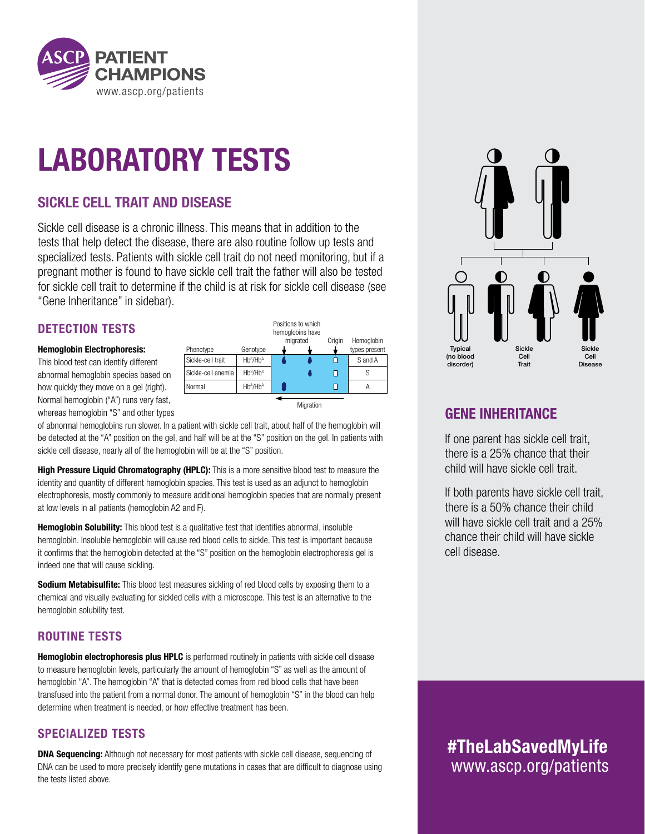

# LABORATORY TESTS

### SICKLE CELL TRAIT AND DISEASE

Sickle cell disease is a chronic illness. This means that in addition to the tests that help detect the disease, there are also routine follow up tests and specialized tests. Patients with sickle cell trait do not need monitoring, but if a pregnant mother is found to have sickle cell trait the father will also be tested for sickle cell trait to determine if the child is at risk for sickle cell disease (see "Gene Inheritance" in sidebar).

#### DETECTION TESTS

#### Hemoglobin Electrophoresis:

This blood test can identify different abnormal hemoglobin species based on how quickly they move on a gel (right). Normal hemoglobin ("A") runs very fast, whereas hemoglobin "S" and other types

|                    |                                  | Positions to which<br>hemoglobins have |        |               |
|--------------------|----------------------------------|----------------------------------------|--------|---------------|
|                    |                                  | migrated                               | Origin | Hemoglobin    |
| Phenotype          | Genotype                         |                                        |        | types present |
| Sickle-cell trait  | Hb <sup>S</sup> /Hb <sup>A</sup> |                                        |        | S and A       |
| Sickle-cell anemia | Hb <sup>S</sup> /Hb <sup>S</sup> |                                        |        |               |
| Normal             | $Hb^A/Hb^A$                      |                                        |        |               |
|                    |                                  |                                        |        |               |
|                    |                                  | Migration                              |        |               |

of abnormal hemoglobins run slower. In a patient with sickle cell trait, about half of the hemoglobin will be detected at the "A" position on the gel, and half will be at the "S" position on the gel. In patients with sickle cell disease, nearly all of the hemoglobin will be at the "S" position.

**High Pressure Liquid Chromatography (HPLC):** This is a more sensitive blood test to measure the identity and quantity of different hemoglobin species. This test is used as an adjunct to hemoglobin electrophoresis, mostly commonly to measure additional hemoglobin species that are normally present at low levels in all patients (hemoglobin A2 and F).

Hemoglobin Solubility: This blood test is a qualitative test that identifies abnormal, insoluble hemoglobin. Insoluble hemoglobin will cause red blood cells to sickle. This test is important because it confirms that the hemoglobin detected at the "S" position on the hemoglobin electrophoresis gel is indeed one that will cause sickling.

Sodium Metabisulfite: This blood test measures sickling of red blood cells by exposing them to a chemical and visually evaluating for sickled cells with a microscope. This test is an alternative to the hemoglobin solubility test.

#### ROUTINE TESTS

Hemoglobin electrophoresis plus HPLC is performed routinely in patients with sickle cell disease to measure hemoglobin levels, particularly the amount of hemoglobin "S" as well as the amount of hemoglobin "A". The hemoglobin "A" that is detected comes from red blood cells that have been transfused into the patient from a normal donor. The amount of hemoglobin "S" in the blood can help determine when treatment is needed, or how effective treatment has been.

#### SPECIALIZED TESTS

**DNA Sequencing:** Although not necessary for most patients with sickle cell disease, sequencing of DNA can be used to more precisely identify gene mutations in cases that are difficult to diagnose using the tests listed above.



#### GENE INHERITANCE

If one parent has sickle cell trait, there is a 25% chance that their child will have sickle cell trait.

If both parents have sickle cell trait, there is a 50% chance their child will have sickle cell trait and a 25% chance their child will have sickle cell disease.

www.ascp.org/patients #TheLabSavedMyLife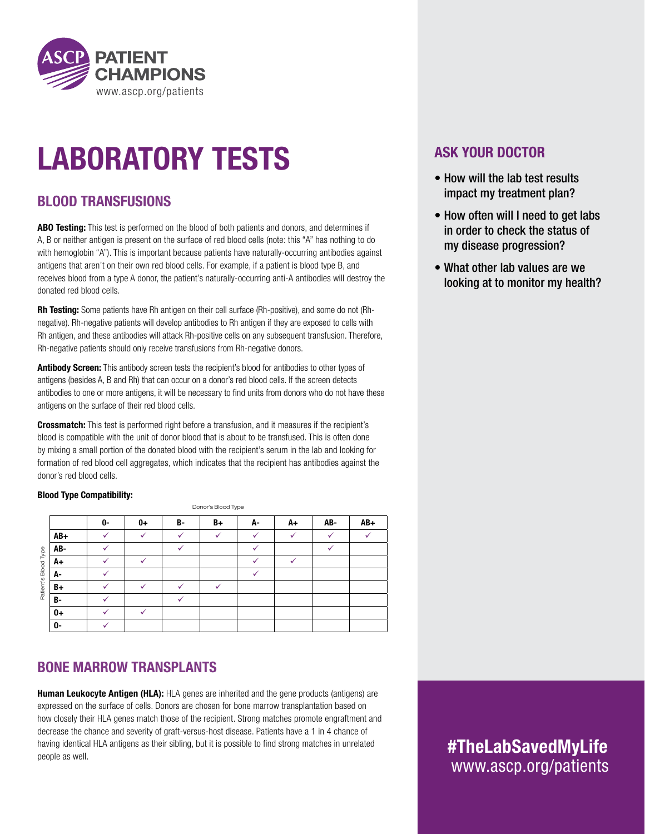

# LABORATORY TESTS

### BLOOD TRANSFUSIONS

ABO Testing: This test is performed on the blood of both patients and donors, and determines if A, B or neither antigen is present on the surface of red blood cells (note: this "A" has nothing to do with hemoglobin "A"). This is important because patients have naturally-occurring antibodies against antigens that aren't on their own red blood cells. For example, if a patient is blood type B, and receives blood from a type A donor, the patient's naturally-occurring anti-A antibodies will destroy the donated red blood cells.

Rh Testing: Some patients have Rh antigen on their cell surface (Rh-positive), and some do not (Rhnegative). Rh-negative patients will develop antibodies to Rh antigen if they are exposed to cells with Rh antigen, and these antibodies will attack Rh-positive cells on any subsequent transfusion. Therefore, Rh-negative patients should only receive transfusions from Rh-negative donors.

Antibody Screen: This antibody screen tests the recipient's blood for antibodies to other types of antigens (besides A, B and Rh) that can occur on a donor's red blood cells. If the screen detects antibodies to one or more antigens, it will be necessary to find units from donors who do not have these antigens on the surface of their red blood cells.

**Crossmatch:** This test is performed right before a transfusion, and it measures if the recipient's blood is compatible with the unit of donor blood that is about to be transfused. This is often done by mixing a small portion of the donated blood with the recipient's serum in the lab and looking for formation of red blood cell aggregates, which indicates that the recipient has antibodies against the donor's red blood cells.

#### Blood Type Compatibility:

Donor's Blood Type

|                       | 0-           | 0+           | B-           | B+           | А- | A+           | AB-          | $AB+$ |
|-----------------------|--------------|--------------|--------------|--------------|----|--------------|--------------|-------|
| $AB+$                 |              | $\checkmark$ | $\checkmark$ | $\checkmark$ |    | $\checkmark$ | $\checkmark$ |       |
| AB-<br>Туре           | $\checkmark$ |              | $\checkmark$ |              | v  |              | ✓            |       |
| A+                    |              | √            |              |              |    |              |              |       |
| Patient's Blood<br>А- |              |              |              |              | ✓  |              |              |       |
| B+                    |              | ✓            |              | ✓            |    |              |              |       |
| B-                    |              |              | $\checkmark$ |              |    |              |              |       |
| $0+$                  |              | $\checkmark$ |              |              |    |              |              |       |
| 0-                    |              |              |              |              |    |              |              |       |

#### BONE MARROW TRANSPLANTS

Human Leukocyte Antigen (HLA): HLA genes are inherited and the gene products (antigens) are expressed on the surface of cells. Donors are chosen for bone marrow transplantation based on how closely their HLA genes match those of the recipient. Strong matches promote engraftment and decrease the chance and severity of graft-versus-host disease. Patients have a 1 in 4 chance of having identical HLA antigens as their sibling, but it is possible to find strong matches in unrelated people as well.

#### ASK YOUR DOCTOR

- How will the lab test results impact my treatment plan?
- How often will I need to get labs in order to check the status of my disease progression?
- What other lab values are we looking at to monitor my health?

www.ascp.org/patients #TheLabSavedMyLife